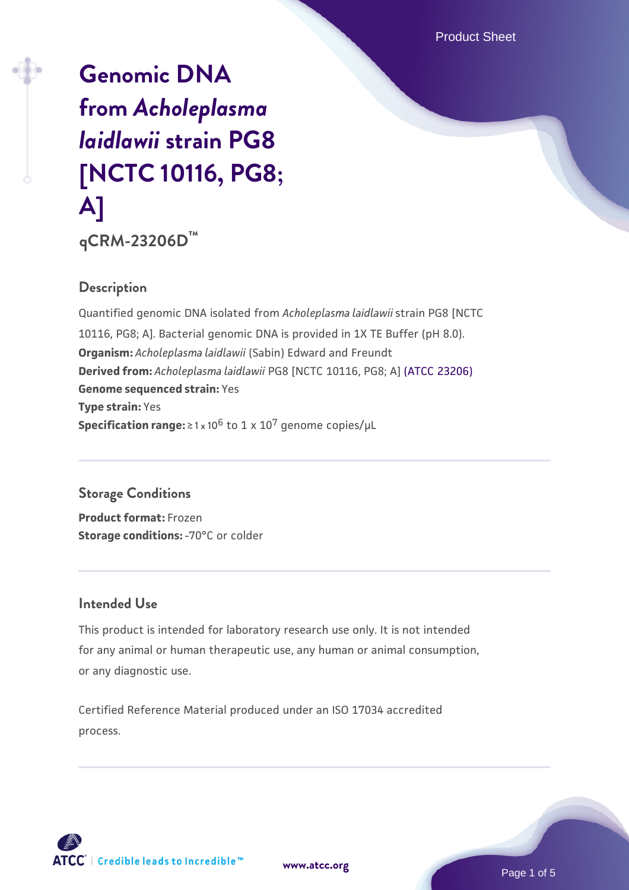Product Sheet

# **[Genomic DNA](https://www.atcc.org/products/qcrm-23206d) [from](https://www.atcc.org/products/qcrm-23206d)** *[Acholeplasma](https://www.atcc.org/products/qcrm-23206d) [laidlawii](https://www.atcc.org/products/qcrm-23206d)* **[strain PG8](https://www.atcc.org/products/qcrm-23206d) [\[NCTC 10116, PG8;](https://www.atcc.org/products/qcrm-23206d) [A\]](https://www.atcc.org/products/qcrm-23206d)**

**qCRM-23206D™**

#### **Description**

Quantified genomic DNA isolated from *Acholeplasma laidlawii* strain PG8 [NCTC 10116, PG8; A]. Bacterial genomic DNA is provided in 1X TE Buffer (pH 8.0). **Organism:** *Acholeplasma laidlawii* (Sabin) Edward and Freundt **Derived from:** *Acholeplasma laidlawii* PG8 [NCTC 10116, PG8; A] [\(ATCC 23206\)](https://www.atcc.org/products/23206) **Genome sequenced strain:** Yes **Type strain:** Yes **Specification range:**  $\geq 1 \times 10^6$  to  $1 \times 10^7$  genome copies/ $\mu$ L

## **Storage Conditions**

**Product format:** Frozen **Storage conditions: - 70°C** or colder

#### **Intended Use**

This product is intended for laboratory research use only. It is not intended for any animal or human therapeutic use, any human or animal consumption, or any diagnostic use.

Certified Reference Material produced under an ISO 17034 accredited process.



**[www.atcc.org](http://www.atcc.org)**

Page 1 of 5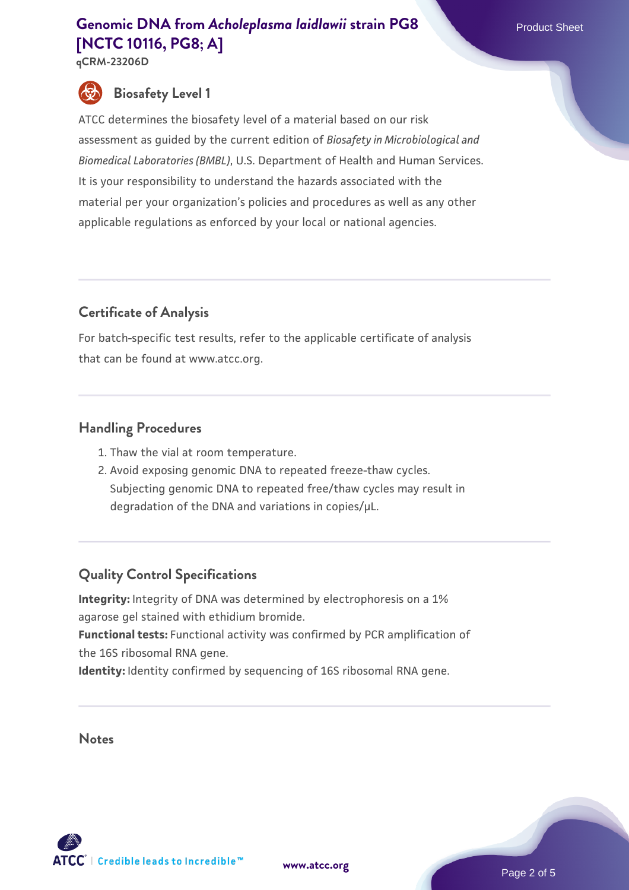**qCRM-23206D**

# **Biosafety Level 1**

ATCC determines the biosafety level of a material based on our risk assessment as guided by the current edition of *Biosafety in Microbiological and Biomedical Laboratories (BMBL)*, U.S. Department of Health and Human Services. It is your responsibility to understand the hazards associated with the material per your organization's policies and procedures as well as any other applicable regulations as enforced by your local or national agencies.

# **Certificate of Analysis**

For batch-specific test results, refer to the applicable certificate of analysis that can be found at www.atcc.org.

## **Handling Procedures**

- 1. Thaw the vial at room temperature.
- 2. Avoid exposing genomic DNA to repeated freeze-thaw cycles. Subjecting genomic DNA to repeated free/thaw cycles may result in degradation of the DNA and variations in copies/µL.

# **Quality Control Specifications**

**Integrity:** Integrity of DNA was determined by electrophoresis on a 1% agarose gel stained with ethidium bromide. **Functional tests:** Functional activity was confirmed by PCR amplification of the 16S ribosomal RNA gene.

**Identity:** Identity confirmed by sequencing of 16S ribosomal RNA gene.

**Notes**





Page 2 of 5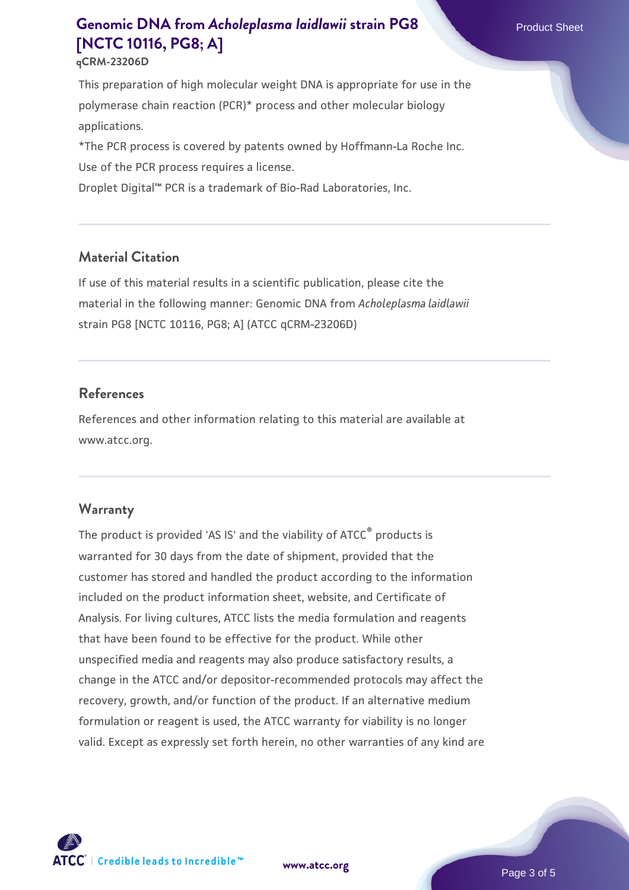This preparation of high molecular weight DNA is appropriate for use in the polymerase chain reaction (PCR)\* process and other molecular biology applications.

\*The PCR process is covered by patents owned by Hoffmann-La Roche Inc. Use of the PCR process requires a license.

Droplet Digital™ PCR is a trademark of Bio-Rad Laboratories, Inc.

# **Material Citation**

If use of this material results in a scientific publication, please cite the material in the following manner: Genomic DNA from *Acholeplasma laidlawii* strain PG8 [NCTC 10116, PG8; A] (ATCC qCRM-23206D)

## **References**

References and other information relating to this material are available at www.atcc.org.

## **Warranty**

The product is provided 'AS IS' and the viability of ATCC® products is warranted for 30 days from the date of shipment, provided that the customer has stored and handled the product according to the information included on the product information sheet, website, and Certificate of Analysis. For living cultures, ATCC lists the media formulation and reagents that have been found to be effective for the product. While other unspecified media and reagents may also produce satisfactory results, a change in the ATCC and/or depositor-recommended protocols may affect the recovery, growth, and/or function of the product. If an alternative medium formulation or reagent is used, the ATCC warranty for viability is no longer valid. Except as expressly set forth herein, no other warranties of any kind are

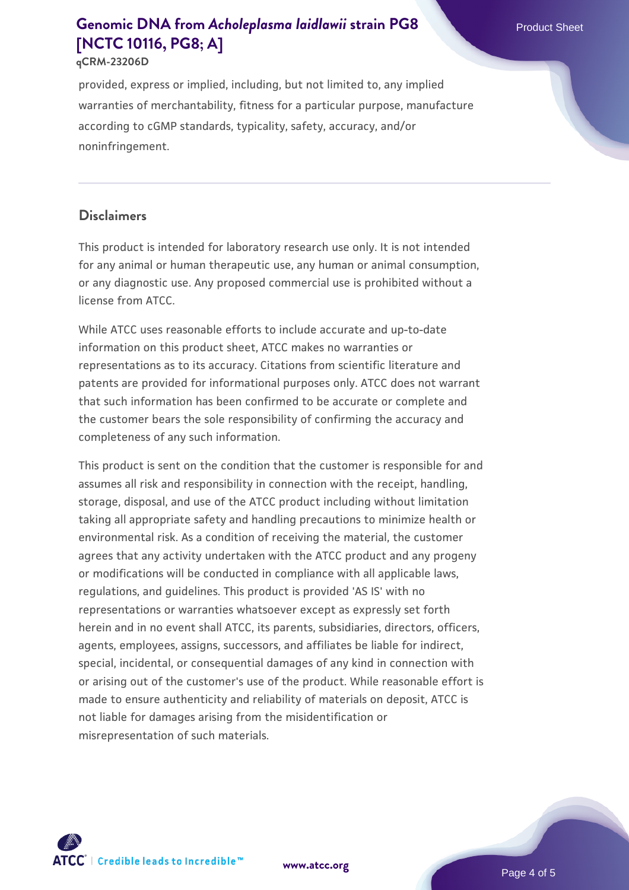#### **qCRM-23206D**

provided, express or implied, including, but not limited to, any implied warranties of merchantability, fitness for a particular purpose, manufacture according to cGMP standards, typicality, safety, accuracy, and/or noninfringement.

#### **Disclaimers**

This product is intended for laboratory research use only. It is not intended for any animal or human therapeutic use, any human or animal consumption, or any diagnostic use. Any proposed commercial use is prohibited without a license from ATCC.

While ATCC uses reasonable efforts to include accurate and up-to-date information on this product sheet, ATCC makes no warranties or representations as to its accuracy. Citations from scientific literature and patents are provided for informational purposes only. ATCC does not warrant that such information has been confirmed to be accurate or complete and the customer bears the sole responsibility of confirming the accuracy and completeness of any such information.

This product is sent on the condition that the customer is responsible for and assumes all risk and responsibility in connection with the receipt, handling, storage, disposal, and use of the ATCC product including without limitation taking all appropriate safety and handling precautions to minimize health or environmental risk. As a condition of receiving the material, the customer agrees that any activity undertaken with the ATCC product and any progeny or modifications will be conducted in compliance with all applicable laws, regulations, and guidelines. This product is provided 'AS IS' with no representations or warranties whatsoever except as expressly set forth herein and in no event shall ATCC, its parents, subsidiaries, directors, officers, agents, employees, assigns, successors, and affiliates be liable for indirect, special, incidental, or consequential damages of any kind in connection with or arising out of the customer's use of the product. While reasonable effort is made to ensure authenticity and reliability of materials on deposit, ATCC is not liable for damages arising from the misidentification or misrepresentation of such materials.